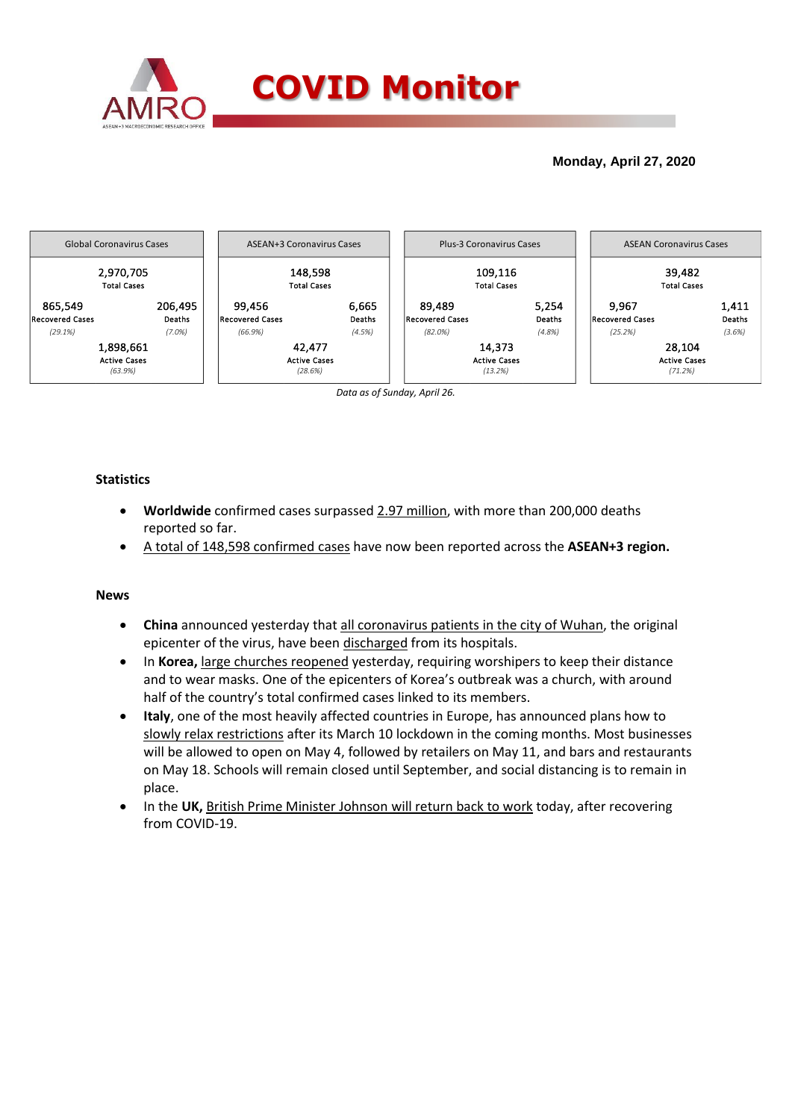

## **Monday, April 27, 2020**



*Data as of Sunday, April 26.*

### **Statistics**

- **Worldwide** confirmed cases surpassed 2.97 million, with more than 200,000 deaths reported so far.
- A total of 148,598 confirmed cases have now been reported across the **ASEAN+3 region.**

#### **News**

- **China** announced yesterday that all coronavirus patients in the city of Wuhan, the original epicenter of the virus, have been discharged from its hospitals.
- In **Korea,** large churches reopened yesterday, requiring worshipers to keep their distance and to wear masks. One of the epicenters of Korea's outbreak was a church, with around half of the country's total confirmed cases linked to its members.
- **Italy**, one of the most heavily affected countries in Europe, has announced plans how to slowly relax restrictions after its March 10 lockdown in the coming months. Most businesses will be allowed to open on May 4, followed by retailers on May 11, and bars and restaurants on May 18. Schools will remain closed until September, and social distancing is to remain in place.
- In the **UK,** British Prime Minister Johnson will return back to work today, after recovering from COVID-19.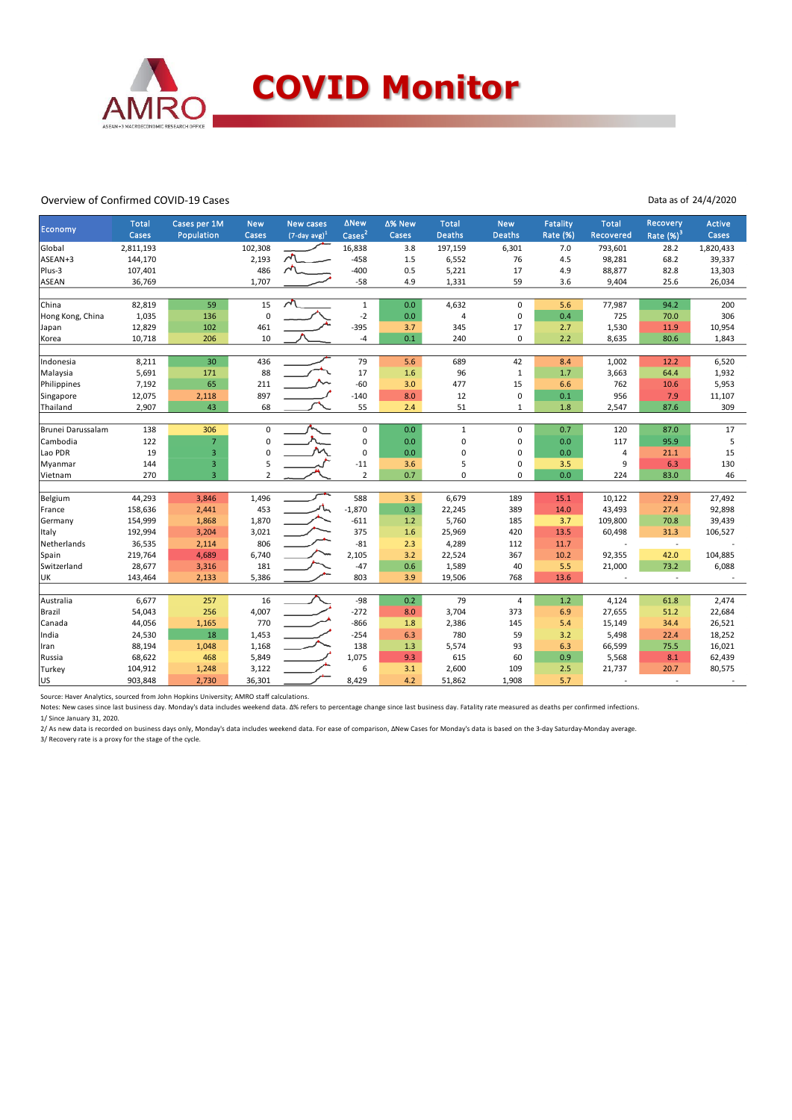

#### Overview of Confirmed COVID-19 Cases

Data as of 24/4/2020

| Economy           | <b>Total</b> | Cases per 1M   | <b>New</b>     | <b>New cases</b>            | ∆New                        | ∆% New | <b>Total</b>  | <b>New</b>     | <b>Fatality</b> | <b>Total</b> | Recovery                | Active    |
|-------------------|--------------|----------------|----------------|-----------------------------|-----------------------------|--------|---------------|----------------|-----------------|--------------|-------------------------|-----------|
|                   | Cases        | Population     | Cases          | $(7$ -day avg) <sup>1</sup> | $\overline{\text{Cases}}^2$ | Cases  | <b>Deaths</b> | <b>Deaths</b>  | Rate (%)        | Recovered    | Rate $(\frac{96}{3})^3$ | Cases     |
| Global            | 2,811,193    |                | 102,308        |                             | 16,838                      | 3.8    | 197,159       | 6,301          | 7.0             | 793,601      | 28.2                    | 1,820,433 |
| ASEAN+3           | 144,170      |                | 2,193          | $\sqrt{2}$                  | $-458$                      | 1.5    | 6,552         | 76             | 4.5             | 98,281       | 68.2                    | 39,337    |
| Plus-3            | 107,401      |                | 486            | $\sim$                      | $-400$                      | 0.5    | 5,221         | 17             | 4.9             | 88,877       | 82.8                    | 13,303    |
| ASEAN             | 36,769       |                | 1,707          |                             | $-58$                       | 4.9    | 1,331         | 59             | 3.6             | 9,404        | 25.6                    | 26,034    |
| China             | 82,819       | 59             | 15             | $\sqrt{2}$                  | $\mathbf{1}$                | 0.0    | 4,632         | $\mathbf 0$    | 5.6             | 77,987       | 94.2                    | 200       |
| Hong Kong, China  | 1,035        | 136            | $\pmb{0}$      |                             | $-2$                        | 0.0    | 4             | 0              | 0.4             | 725          | 70.0                    | 306       |
| Japan             | 12,829       | 102            | 461            |                             | $-395$                      | 3.7    | 345           | 17             | 2.7             | 1,530        | 11.9                    | 10,954    |
| Korea             | 10,718       | 206            | 10             |                             | -4                          | 0.1    | 240           | $\mathbf 0$    | 2.2             | 8,635        | 80.6                    | 1,843     |
| Indonesia         | 8,211        | 30             | 436            |                             | 79                          | 5.6    | 689           | 42             | 8.4             | 1,002        | 12.2                    | 6,520     |
| Malaysia          | 5,691        | 171            | 88             |                             | 17                          | 1.6    | 96            | $\mathbf{1}$   | 1.7             | 3,663        | 64.4                    | 1,932     |
| Philippines       | 7,192        | 65             | 211            |                             | $-60$                       | 3.0    | 477           | 15             | 6.6             | 762          | 10.6                    | 5,953     |
| Singapore         | 12,075       | 2,118          | 897            |                             | $-140$                      | 8.0    | 12            | $\mathbf 0$    | 0.1             | 956          | 7.9                     | 11,107    |
| Thailand          | 2,907        | 43             | 68             |                             | 55                          | 2.4    | 51            | 1              | 1.8             | 2,547        | 87.6                    | 309       |
| Brunei Darussalam | 138          | 306            | $\mathbf 0$    |                             | $\mathbf 0$                 | 0.0    | $\mathbf{1}$  | $\Omega$       | 0.7             | 120          | 87.0                    | 17        |
| Cambodia          | 122          | $\overline{7}$ | $\mathbf 0$    |                             | 0                           | 0.0    | 0             | $\mathbf 0$    | 0.0             | 117          | 95.9                    | 5         |
| Lao PDR           | 19           | $\overline{3}$ | $\mathbf 0$    |                             | $\mathbf 0$                 | 0.0    | 0             | $\mathbf 0$    | 0.0             | 4            | 21.1                    | 15        |
| Myanmar           | 144          | $\mathbf{3}$   | 5              |                             | $-11$                       | 3.6    | 5             | 0              | 3.5             | 9            | 6.3                     | 130       |
| Vietnam           | 270          | $\overline{3}$ | $\overline{2}$ |                             | $\overline{2}$              | 0.7    | 0             | $\mathbf 0$    | 0.0             | 224          | 83.0                    | 46        |
| Belgium           | 44,293       | 3,846          | 1,496          |                             | 588                         | 3.5    | 6,679         | 189            | 15.1            | 10,122       | 22.9                    | 27,492    |
| France            | 158,636      | 2,441          | 453            |                             | $-1,870$                    | 0.3    | 22,245        | 389            | 14.0            | 43,493       | 27.4                    | 92,898    |
| Germany           | 154,999      | 1,868          | 1,870          |                             | $-611$                      | 1.2    | 5,760         | 185            | 3.7             | 109,800      | 70.8                    | 39,439    |
| Italy             | 192,994      | 3,204          | 3,021          |                             | 375                         | 1.6    | 25,969        | 420            | 13.5            | 60,498       | 31.3                    | 106,527   |
| Netherlands       | 36,535       | 2,114          | 806            |                             | $-81$                       | 2.3    | 4,289         | 112            | 11.7            |              | $\sim$                  |           |
| Spain             | 219,764      | 4,689          | 6,740          |                             | 2,105                       | 3.2    | 22,524        | 367            | 10.2            | 92,355       | 42.0                    | 104,885   |
| Switzerland       | 28,677       | 3,316          | 181            |                             | $-47$                       | 0.6    | 1,589         | 40             | 5.5             | 21,000       | 73.2                    | 6,088     |
| UK                | 143,464      | 2,133          | 5,386          |                             | 803                         | 3.9    | 19,506        | 768            | 13.6            |              | $\sim$                  |           |
| Australia         | 6,677        | 257            | 16             |                             | $-98$                       | 0.2    | 79            | $\overline{4}$ | 1.2             | 4,124        | 61.8                    | 2,474     |
| Brazil            | 54,043       | 256            | 4,007          |                             | $-272$                      | 8.0    | 3,704         | 373            | 6.9             | 27,655       | 51.2                    | 22,684    |
| Canada            | 44,056       | 1,165          | 770            |                             | $-866$                      | 1.8    | 2,386         | 145            | 5.4             | 15,149       | 34.4                    | 26,521    |
| India             | 24,530       | 18             | 1,453          |                             | $-254$                      | 6.3    | 780           | 59             | 3.2             | 5,498        | 22.4                    | 18,252    |
| Iran              | 88,194       | 1,048          | 1,168          |                             | 138                         | 1.3    | 5,574         | 93             | 6.3             | 66,599       | 75.5                    | 16,021    |
| Russia            | 68,622       | 468            | 5,849          |                             | 1,075                       | 9.3    | 615           | 60             | 0.9             | 5,568        | 8.1                     | 62,439    |
| Turkey            | 104,912      | 1,248          | 3,122          |                             | 6                           | 3.1    | 2,600         | 109            | 2.5             | 21,737       | 20.7                    | 80,575    |
| <b>US</b>         | 903,848      | 2,730          | 36,301         |                             | 8,429                       | 4.2    | 51,862        | 1,908          | 5.7             |              |                         |           |

Source: Haver Analytics, sourced from John Hopkins University; AMRO staff calculations.

Notes: New cases since last business day. Monday's data includes weekend data. Δ% refers to percentage change since last business day. Fatality rate measured as deaths per confirmed infections. 1/ Since January 31, 2020.

2/ As new data is recorded on business days only, Monday's data includes weekend data. For ease of comparison, ΔNew Cases for Monday's data is based on the 3-day Saturday-Monday average.

3/ Recovery rate is a proxy for the stage of the cycle.